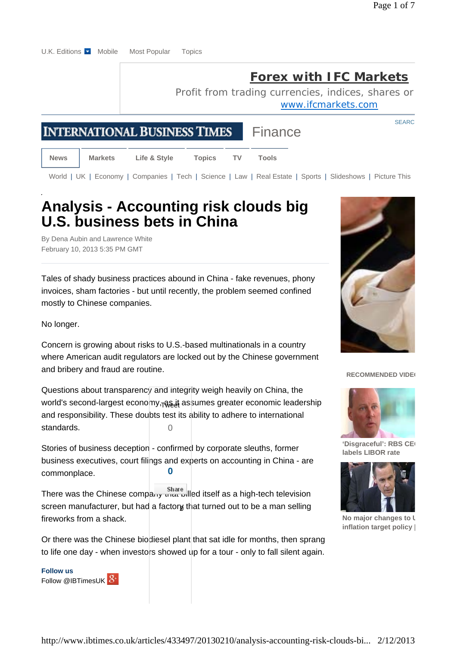SEARC

### **Forex with IFC Markets**

Profit from trading currencies, indices, shares or www.ifcmarkets.com

Finance

# **INTERNATIONAL BUSINESS TIMES**

**News Markets Life & Style Topics TV Tools**

World | UK | Economy | Companies | Tech | Science | Law | Real Estate | Sports | Slideshows | Picture This

## **Analysis - Accounting risk clouds big U.S. business bets in China**

By Dena Aubin and Lawrence White February 10, 2013 5:35 PM GMT

Tales of shady business practices abound in China - fake revenues, phony invoices, sham factories - but until recently, the problem seemed confined mostly to Chinese companies.

No longer.

Concern is growing about risks to U.S.-based multinationals in a country where American audit regulators are locked out by the Chinese government and bribery and fraud are routine.

Questions about transparency and integrity weigh heavily on China, the world's second-largest economy,<sub>ToSe</sub>t assumes greater economic leadership and responsibility. These doubts test its ability to adhere to international standards.  $\cap$ 

Stories of business deception - confirmed by corporate sleuths, former business executives, court filings and experts on accounting in China - are commonplace. **0**

There was the Chinese company share led itself as a high-tech television screen manufacturer, but had a factory that turned out to be a man selling fireworks from a shack.

Or there was the Chinese biodiesel plant that sat idle for months, then sprang to life one day - when investors showed up for a tour - only to fall silent again.

**Follow us**  Follow @IBTimesUK 8+



#### **RECOMMENDED VIDEO**



'Disgraceful': RBS CE **labels LIBOR rate** 



**No major changes to U inflation target policy |**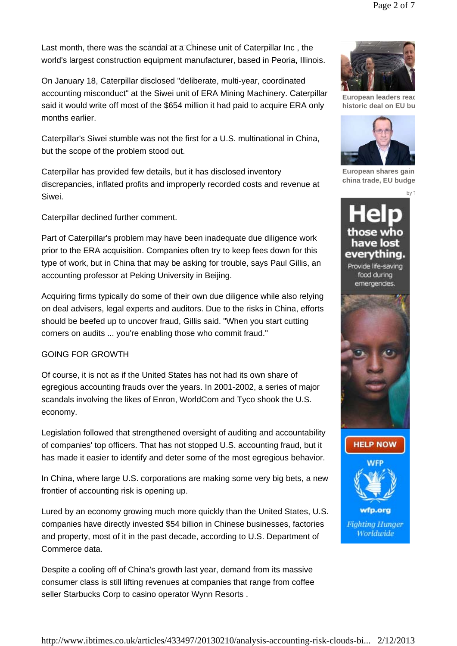On January 18, Caterpillar disclosed "deliberate, multi-year, coordinated accounting misconduct" at the Siwei unit of ERA Mining Machinery. Caterpillar said it would write off most of the \$654 million it had paid to acquire ERA only months earlier.

world's largest construction equipment manufacturer, based in Peoria, Illinois.

Caterpillar's Siwei stumble was not the first for a U.S. multinational in China, but the scope of the problem stood out.

Caterpillar has provided few details, but it has disclosed inventory discrepancies, inflated profits and improperly recorded costs and revenue at Siwei.

Caterpillar declined further comment.

Part of Caterpillar's problem may have been inadequate due diligence work prior to the ERA acquisition. Companies often try to keep fees down for this type of work, but in China that may be asking for trouble, says Paul Gillis, an accounting professor at Peking University in Beijing.

Acquiring firms typically do some of their own due diligence while also relying on deal advisers, legal experts and auditors. Due to the risks in China, efforts should be beefed up to uncover fraud, Gillis said. "When you start cutting corners on audits ... you're enabling those who commit fraud."

### GOING FOR GROWTH

Of course, it is not as if the United States has not had its own share of egregious accounting frauds over the years. In 2001-2002, a series of major scandals involving the likes of Enron, WorldCom and Tyco shook the U.S. economy.

Legislation followed that strengthened oversight of auditing and accountability of companies' top officers. That has not stopped U.S. accounting fraud, but it has made it easier to identify and deter some of the most egregious behavior.

In China, where large U.S. corporations are making some very big bets, a new frontier of accounting risk is opening up.

Lured by an economy growing much more quickly than the United States, U.S. companies have directly invested \$54 billion in Chinese businesses, factories and property, most of it in the past decade, according to U.S. Department of Commerce data.

Despite a cooling off of China's growth last year, demand from its massive consumer class is still lifting revenues at companies that range from coffee seller Starbucks Corp to casino operator Wynn Resorts .



**European leaders reac historic deal on EU bu**



**European shares gain china trade, EU budge**

by T





**Fighting Hunger** Worldwide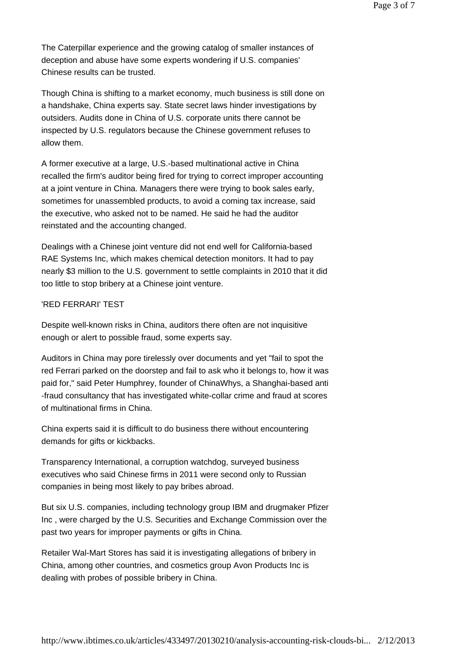The Caterpillar experience and the growing catalog of smaller instances of deception and abuse have some experts wondering if U.S. companies' Chinese results can be trusted.

Though China is shifting to a market economy, much business is still done on a handshake, China experts say. State secret laws hinder investigations by outsiders. Audits done in China of U.S. corporate units there cannot be inspected by U.S. regulators because the Chinese government refuses to allow them.

A former executive at a large, U.S.-based multinational active in China recalled the firm's auditor being fired for trying to correct improper accounting at a joint venture in China. Managers there were trying to book sales early, sometimes for unassembled products, to avoid a coming tax increase, said the executive, who asked not to be named. He said he had the auditor reinstated and the accounting changed.

Dealings with a Chinese joint venture did not end well for California-based RAE Systems Inc, which makes chemical detection monitors. It had to pay nearly \$3 million to the U.S. government to settle complaints in 2010 that it did too little to stop bribery at a Chinese joint venture.

### 'RED FERRARI' TEST

Despite well-known risks in China, auditors there often are not inquisitive enough or alert to possible fraud, some experts say.

Auditors in China may pore tirelessly over documents and yet "fail to spot the red Ferrari parked on the doorstep and fail to ask who it belongs to, how it was paid for," said Peter Humphrey, founder of ChinaWhys, a Shanghai-based anti -fraud consultancy that has investigated white-collar crime and fraud at scores of multinational firms in China.

China experts said it is difficult to do business there without encountering demands for gifts or kickbacks.

Transparency International, a corruption watchdog, surveyed business executives who said Chinese firms in 2011 were second only to Russian companies in being most likely to pay bribes abroad.

But six U.S. companies, including technology group IBM and drugmaker Pfizer Inc , were charged by the U.S. Securities and Exchange Commission over the past two years for improper payments or gifts in China.

Retailer Wal-Mart Stores has said it is investigating allegations of bribery in China, among other countries, and cosmetics group Avon Products Inc is dealing with probes of possible bribery in China.